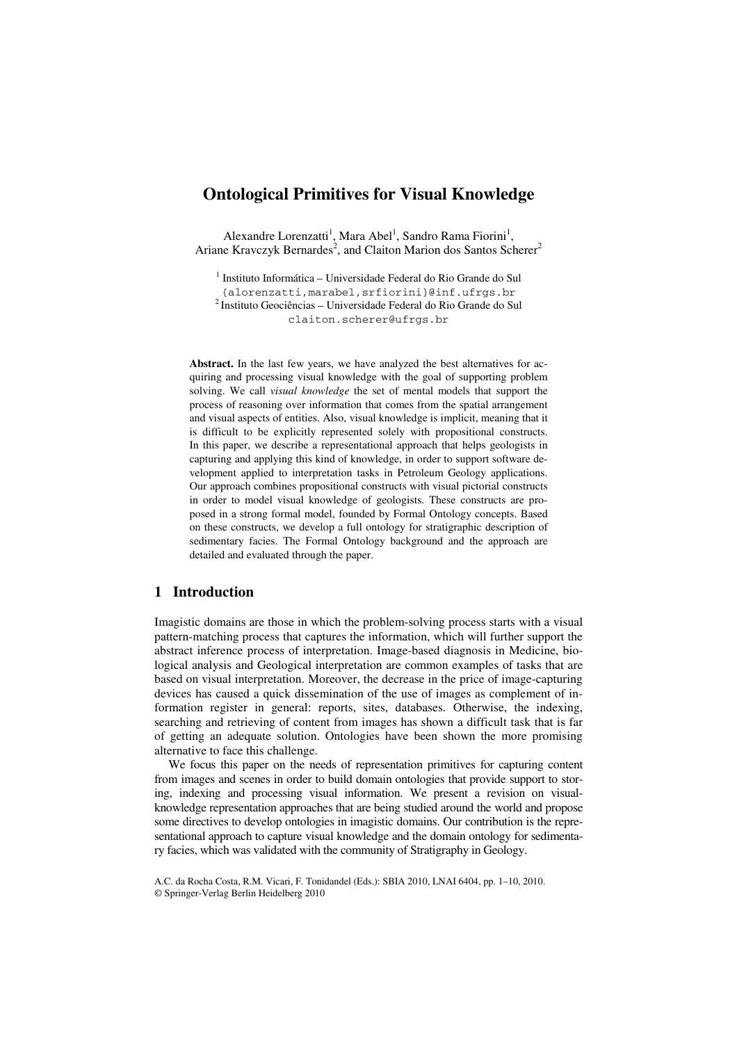# **Ontological Primitives for Visual Knowledge**

Alexandre Lorenzatti<sup>1</sup>, Mara Abel<sup>1</sup>, Sandro Rama Fiorini<sup>1</sup>, Ariane Kravczyk Bernardes<sup>2</sup>, and Claiton Marion dos Santos Scherer<sup>2</sup>

<sup>1</sup> Instituto Informática – Universidade Federal do Rio Grande do Sul {alorenzatti,marabel,srfiorini}@inf.ufrgs.br 2 Instituto Geociências – Universidade Federal do Rio Grande do Sul claiton.scherer@ufrgs.br

**Abstract.** In the last few years, we have analyzed the best alternatives for acquiring and processing visual knowledge with the goal of supporting problem solving. We call *visual knowledge* the set of mental models that support the process of reasoning over information that comes from the spatial arrangement and visual aspects of entities. Also, visual knowledge is implicit, meaning that it is difficult to be explicitly represented solely with propositional constructs. In this paper, we describe a representational approach that helps geologists in capturing and applying this kind of knowledge, in order to support software development applied to interpretation tasks in Petroleum Geology applications. Our approach combines propositional constructs with visual pictorial constructs in order to model visual knowledge of geologists. These constructs are proposed in a strong formal model, founded by Formal Ontology concepts. Based on these constructs, we develop a full ontology for stratigraphic description of sedimentary facies. The Formal Ontology background and the approach are detailed and evaluated through the paper.

## **1 Introduction**

Imagistic domains are those in which the problem-solving process starts with a visual pattern-matching process that captures the information, which will further support the abstract inference process of interpretation. Image-based diagnosis in Medicine, biological analysis and Geological interpretation are common examples of tasks that are based on visual interpretation. Moreover, the decrease in the price of image-capturing devices has caused a quick dissemination of the use of images as complement of information register in general: reports, sites, databases. Otherwise, the indexing, searching and retrieving of content from images has shown a difficult task that is far of getting an adequate solution. Ontologies have been shown the more promising alternative to face this challenge.

We focus this paper on the needs of representation primitives for capturing content from images and scenes in order to build domain ontologies that provide support to storing, indexing and processing visual information. We present a revision on visualknowledge representation approaches that are being studied around the world and propose some directives to develop ontologies in imagistic domains. Our contribution is the representational approach to capture visual knowledge and the domain ontology for sedimentary facies, which was validated with the community of Stratigraphy in Geology.

A.C. da Rocha Costa, R.M. Vicari, F. Tonidandel (Eds.): SBIA 2010, LNAI 6404, pp. 1–10, 2010. © Springer-Verlag Berlin Heidelberg 2010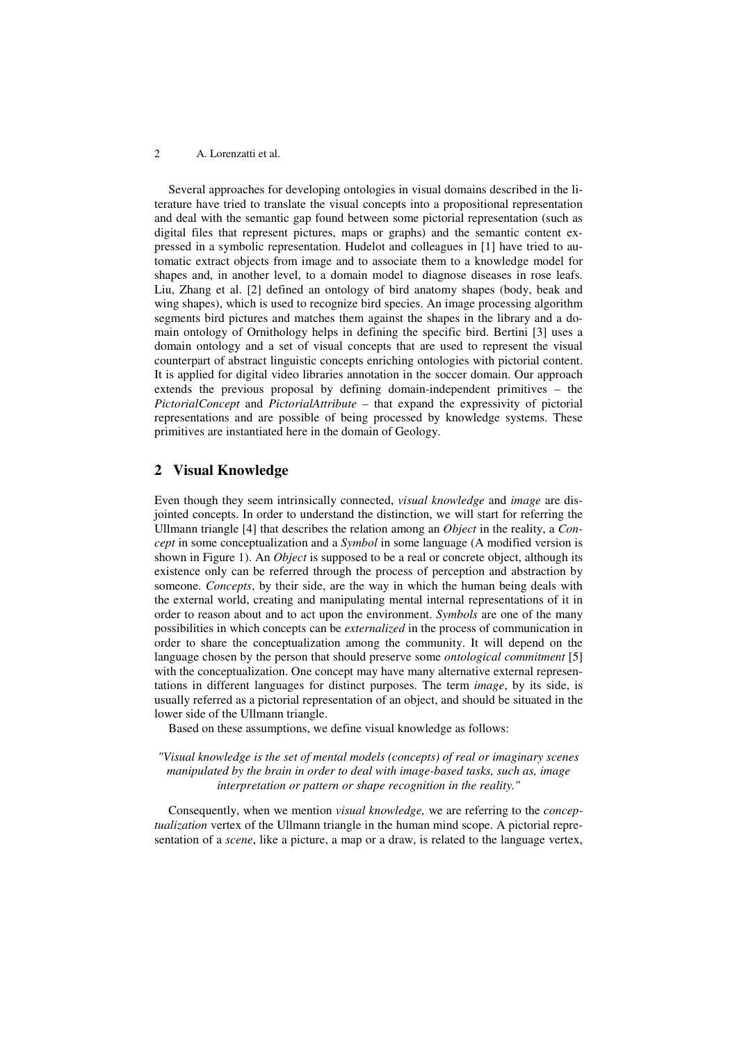Several approaches for developing ontologies in visual domains described in the literature have tried to translate the visual concepts into a propositional representation and deal with the semantic gap found between some pictorial representation (such as digital files that represent pictures, maps or graphs) and the semantic content expressed in a symbolic representation. Hudelot and colleagues in [1] have tried to automatic extract objects from image and to associate them to a knowledge model for shapes and, in another level, to a domain model to diagnose diseases in rose leafs. Liu, Zhang et al. [2] defined an ontology of bird anatomy shapes (body, beak and wing shapes), which is used to recognize bird species. An image processing algorithm segments bird pictures and matches them against the shapes in the library and a domain ontology of Ornithology helps in defining the specific bird. Bertini [3] uses a domain ontology and a set of visual concepts that are used to represent the visual counterpart of abstract linguistic concepts enriching ontologies with pictorial content. It is applied for digital video libraries annotation in the soccer domain. Our approach extends the previous proposal by defining domain-independent primitives – the *PictorialConcept* and *PictorialAttribute* – that expand the expressivity of pictorial representations and are possible of being processed by knowledge systems. These primitives are instantiated here in the domain of Geology.

# **2 Visual Knowledge**

Even though they seem intrinsically connected, *visual knowledge* and *image* are disjointed concepts. In order to understand the distinction, we will start for referring the Ullmann triangle [4] that describes the relation among an *Object* in the reality, a *Concept* in some conceptualization and a *Symbol* in some language (A modified version is shown in Figure 1). An *Object* is supposed to be a real or concrete object, although its existence only can be referred through the process of perception and abstraction by someone. *Concepts*, by their side, are the way in which the human being deals with the external world, creating and manipulating mental internal representations of it in order to reason about and to act upon the environment. *Symbols* are one of the many possibilities in which concepts can be *externalized* in the process of communication in order to share the conceptualization among the community. It will depend on the language chosen by the person that should preserve some *ontological commitment* [5] with the conceptualization. One concept may have many alternative external representations in different languages for distinct purposes. The term *image*, by its side, is usually referred as a pictorial representation of an object, and should be situated in the lower side of the Ullmann triangle.

Based on these assumptions, we define visual knowledge as follows:

### *"Visual knowledge is the set of mental models (concepts) of real or imaginary scenes manipulated by the brain in order to deal with image-based tasks, such as, image interpretation or pattern or shape recognition in the reality."*

Consequently, when we mention *visual knowledge,* we are referring to the *conceptualization* vertex of the Ullmann triangle in the human mind scope. A pictorial representation of a *scene*, like a picture, a map or a draw, is related to the language vertex,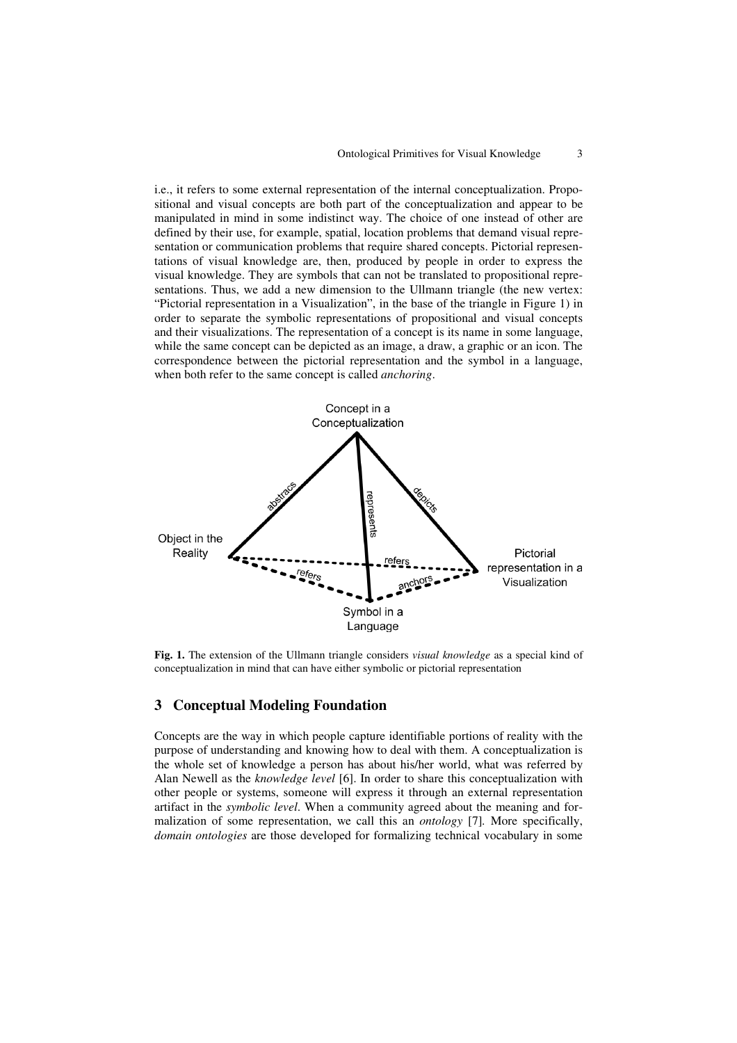i.e., it refers to some external representation of the internal conceptualization. Propositional and visual concepts are both part of the conceptualization and appear to be manipulated in mind in some indistinct way. The choice of one instead of other are defined by their use, for example, spatial, location problems that demand visual representation or communication problems that require shared concepts. Pictorial representations of visual knowledge are, then, produced by people in order to express the visual knowledge. They are symbols that can not be translated to propositional representations. Thus, we add a new dimension to the Ullmann triangle (the new vertex: "Pictorial representation in a Visualization", in the base of the triangle in Figure 1) in order to separate the symbolic representations of propositional and visual concepts and their visualizations. The representation of a concept is its name in some language, while the same concept can be depicted as an image, a draw, a graphic or an icon. The correspondence between the pictorial representation and the symbol in a language, when both refer to the same concept is called *anchoring*.



**Fig. 1.** The extension of the Ullmann triangle considers *visual knowledge* as a special kind of conceptualization in mind that can have either symbolic or pictorial representation

### **3 Conceptual Modeling Foundation**

Concepts are the way in which people capture identifiable portions of reality with the purpose of understanding and knowing how to deal with them. A conceptualization is the whole set of knowledge a person has about his/her world, what was referred by Alan Newell as the *knowledge level* [6]. In order to share this conceptualization with other people or systems, someone will express it through an external representation artifact in the *symbolic level*. When a community agreed about the meaning and formalization of some representation, we call this an *ontology* [7]*.* More specifically, *domain ontologies* are those developed for formalizing technical vocabulary in some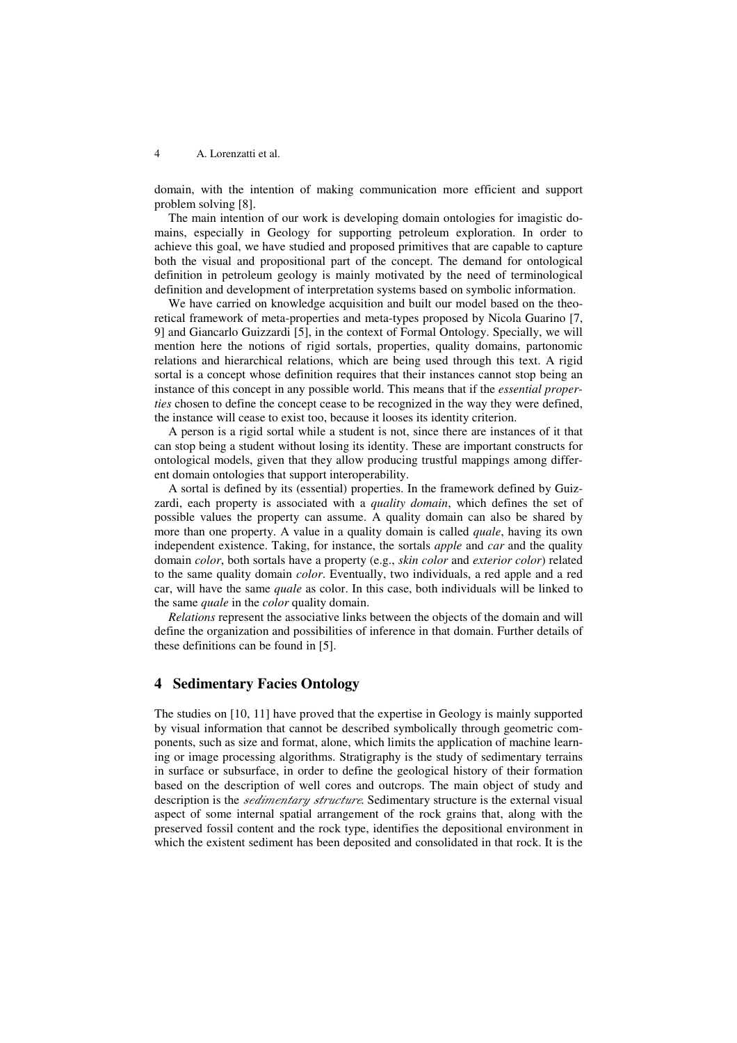domain, with the intention of making communication more efficient and support problem solving [8].

The main intention of our work is developing domain ontologies for imagistic domains, especially in Geology for supporting petroleum exploration. In order to achieve this goal, we have studied and proposed primitives that are capable to capture both the visual and propositional part of the concept. The demand for ontological definition in petroleum geology is mainly motivated by the need of terminological definition and development of interpretation systems based on symbolic information.

We have carried on knowledge acquisition and built our model based on the theoretical framework of meta-properties and meta-types proposed by Nicola Guarino [7, 9] and Giancarlo Guizzardi [5], in the context of Formal Ontology. Specially, we will mention here the notions of rigid sortals, properties, quality domains, partonomic relations and hierarchical relations, which are being used through this text. A rigid sortal is a concept whose definition requires that their instances cannot stop being an instance of this concept in any possible world. This means that if the *essential properties* chosen to define the concept cease to be recognized in the way they were defined, the instance will cease to exist too, because it looses its identity criterion.

A person is a rigid sortal while a student is not, since there are instances of it that can stop being a student without losing its identity. These are important constructs for ontological models, given that they allow producing trustful mappings among different domain ontologies that support interoperability.

A sortal is defined by its (essential) properties. In the framework defined by Guizzardi, each property is associated with a *quality domain*, which defines the set of possible values the property can assume. A quality domain can also be shared by more than one property. A value in a quality domain is called *quale*, having its own independent existence. Taking, for instance, the sortals *apple* and *car* and the quality domain *color*, both sortals have a property (e.g., *skin color* and *exterior color*) related to the same quality domain *color*. Eventually, two individuals, a red apple and a red car, will have the same *quale* as color. In this case, both individuals will be linked to the same *quale* in the *color* quality domain.

*Relations* represent the associative links between the objects of the domain and will define the organization and possibilities of inference in that domain. Further details of these definitions can be found in [5].

### **4 Sedimentary Facies Ontology**

The studies on [10, 11] have proved that the expertise in Geology is mainly supported by visual information that cannot be described symbolically through geometric components, such as size and format, alone, which limits the application of machine learning or image processing algorithms. Stratigraphy is the study of sedimentary terrains in surface or subsurface, in order to define the geological history of their formation based on the description of well cores and outcrops. The main object of study and description is the *sedimentary structure*. Sedimentary structure is the external visual aspect of some internal spatial arrangement of the rock grains that, along with the preserved fossil content and the rock type, identifies the depositional environment in which the existent sediment has been deposited and consolidated in that rock. It is the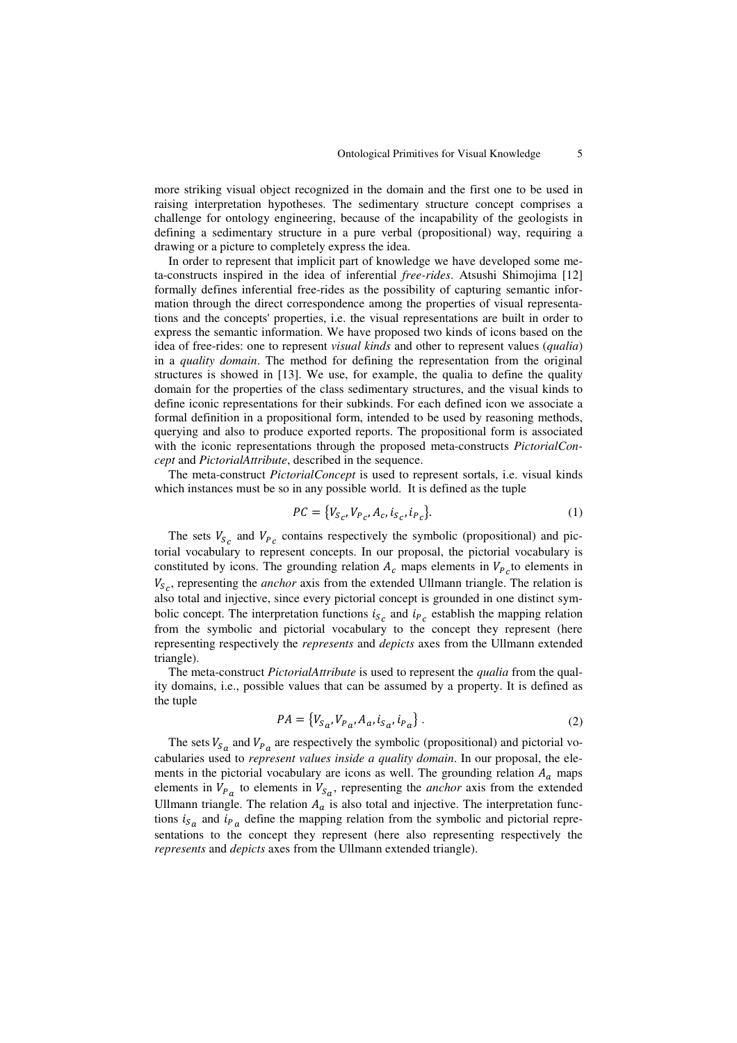more striking visual object recognized in the domain and the first one to be used in raising interpretation hypotheses. The sedimentary structure concept comprises a challenge for ontology engineering, because of the incapability of the geologists in defining a sedimentary structure in a pure verbal (propositional) way, requiring a drawing or a picture to completely express the idea.

In order to represent that implicit part of knowledge we have developed some meta-constructs inspired in the idea of inferential *free-rides*. Atsushi Shimojima [12] formally defines inferential free-rides as the possibility of capturing semantic information through the direct correspondence among the properties of visual representations and the concepts' properties, i.e. the visual representations are built in order to express the semantic information. We have proposed two kinds of icons based on the idea of free-rides: one to represent *visual kinds* and other to represent values (*qualia*) in a *quality domain*. The method for defining the representation from the original structures is showed in [13]. We use, for example, the qualia to define the quality domain for the properties of the class sedimentary structures, and the visual kinds to define iconic representations for their subkinds. For each defined icon we associate a formal definition in a propositional form, intended to be used by reasoning methods, querying and also to produce exported reports. The propositional form is associated with the iconic representations through the proposed meta-constructs *PictorialConcept* and *PictorialAttribute*, described in the sequence.

The meta-construct *PictorialConcept* is used to represent sortals, i.e. visual kinds which instances must be so in any possible world. It is defined as the tuple

$$
PC = \{V_{S_C}, V_{P_C}, A_C, i_{S_C}, i_{P_C}\}.
$$
 (1)

The sets  $V_{S_c}$  and  $V_{P_c}$  contains respectively the symbolic (propositional) and pictorial vocabulary to represent concepts. In our proposal, the pictorial vocabulary is constituted by icons. The grounding relation  $A_c$  maps elements in  $V_{P_c}$  to elements in  $V_{S_c}$ , representing the *anchor* axis from the extended Ullmann triangle. The relation is also total and injective, since every pictorial concept is grounded in one distinct symbolic concept. The interpretation functions  $i_{s_c}$  and  $i_{P_c}$  establish the mapping relation from the symbolic and pictorial vocabulary to the concept they represent (here representing respectively the *represents* and *depicts* axes from the Ullmann extended triangle).

The meta-construct *PictorialAttribute* is used to represent the *qualia* from the quality domains, i.e., possible values that can be assumed by a property. It is defined as the tuple

$$
PA = \{V_{S_a}, V_{P_a}, A_a, i_{S_a}, i_{P_a}\}.
$$
 (2)

The sets  $V_{S_a}$  and  $V_{P_a}$  are respectively the symbolic (propositional) and pictorial vocabularies used to *represent values inside a quality domain*. In our proposal, the elements in the pictorial vocabulary are icons as well. The grounding relation  $A_a$  maps elements in  $V_{P_a}$  to elements in  $V_{S_a}$ , representing the *anchor* axis from the extended Ullmann triangle. The relation  $A_a$  is also total and injective. The interpretation functions  $i_{s_a}$  and  $i_{p_a}$  define the mapping relation from the symbolic and pictorial representations to the concept they represent (here also representing respectively the *represents* and *depicts* axes from the Ullmann extended triangle).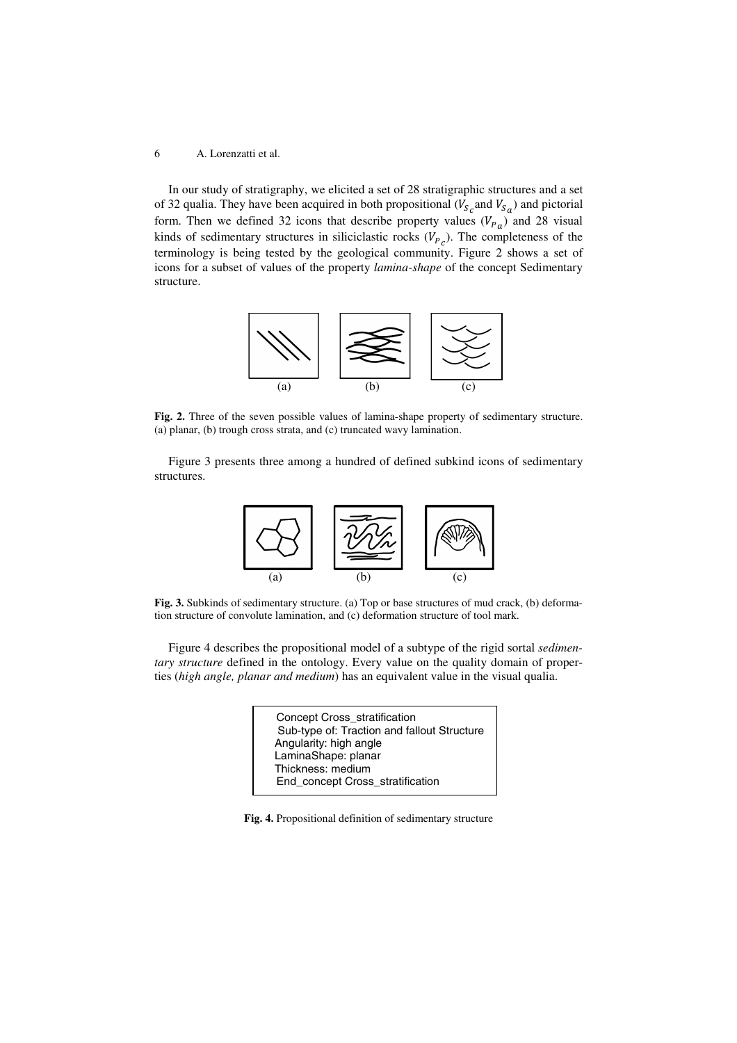In our study of stratigraphy, we elicited a set of 28 stratigraphic structures and a set of 32 qualia. They have been acquired in both propositional  $(V_{S_c}$  and  $V_{S_a}$ ) and pictorial form. Then we defined 32 icons that describe property values  $(V_{P_a})$  and 28 visual kinds of sedimentary structures in siliciclastic rocks  $(V_{P<sub>c</sub>})$ . The completeness of the terminology is being tested by the geological community. Figure 2 shows a set of icons for a subset of values of the property *lamina-shape* of the concept Sedimentary structure.



**Fig. 2.** Three of the seven possible values of lamina-shape property of sedimentary structure. (a) planar, (b) trough cross strata, and (c) truncated wavy lamination.

Figure 3 presents three among a hundred of defined subkind icons of sedimentary structures.



**Fig. 3.** Subkinds of sedimentary structure. (a) Top or base structures of mud crack, (b) deformation structure of convolute lamination, and (c) deformation structure of tool mark.

Figure 4 describes the propositional model of a subtype of the rigid sortal *sedimentary structure* defined in the ontology. Every value on the quality domain of properties (*high angle, planar and medium*) has an equivalent value in the visual qualia.

> Concept Cross\_stratification Sub-type of: Traction and fallout Structure Angularity: high angle LaminaShape: planar Thickness: medium End\_concept Cross\_stratification

**Fig. 4.** Propositional definition of sedimentary structure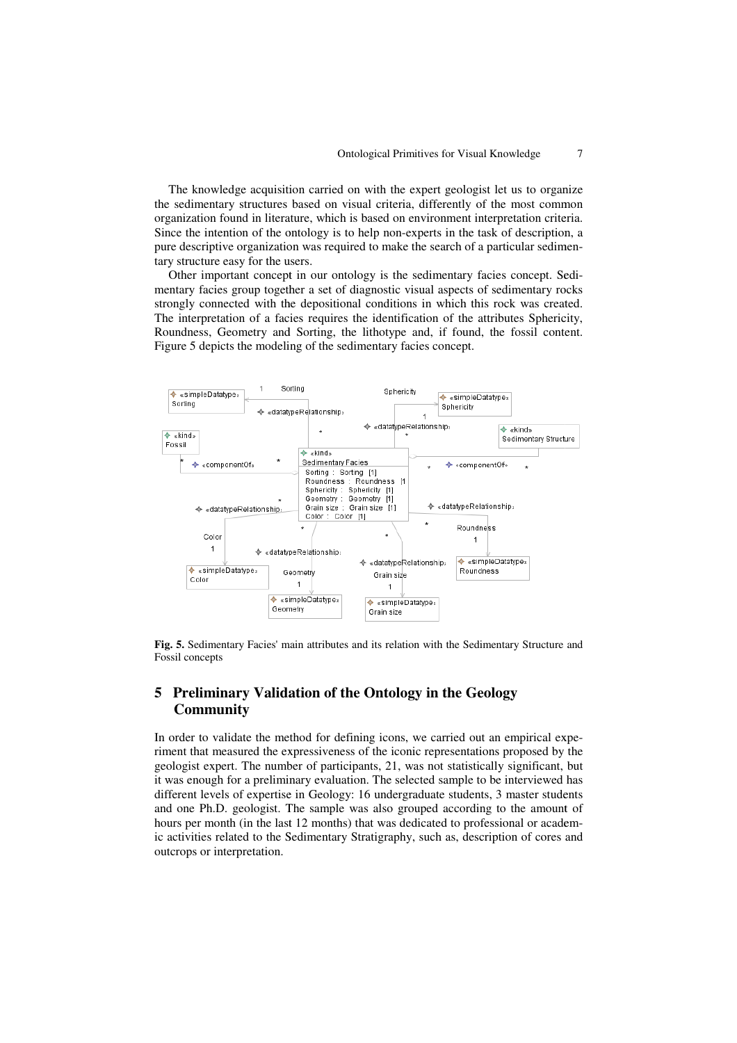The knowledge acquisition carried on with the expert geologist let us to organize the sedimentary structures based on visual criteria, differently of the most common organization found in literature, which is based on environment interpretation criteria. Since the intention of the ontology is to help non-experts in the task of description, a pure descriptive organization was required to make the search of a particular sedimentary structure easy for the users.

Other important concept in our ontology is the sedimentary facies concept. Sedimentary facies group together a set of diagnostic visual aspects of sedimentary rocks strongly connected with the depositional conditions in which this rock was created. The interpretation of a facies requires the identification of the attributes Sphericity, Roundness, Geometry and Sorting, the lithotype and, if found, the fossil content. Figure 5 depicts the modeli ng of the sedimentary facies concept.



Fig. 5. Sedimentary Facies' main attributes and its relation with the Sedimentary Structure and Fossil concepts

# 5 Preliminary Validation of the Ontology in the Geology **Community**

In order to validate the method for defining icons, we carried out an empirical experiment that measured the expressiveness of the iconic representations proposed by the geologist expert. The number of participants, 21, was not statistically significant, but it was enough for a preliminary evaluation. The selected sample to be interviewed has different levels of expertise in Geology: 16 undergraduate students, 3 master students and one Ph.D. geologist. The sample was also grouped according to the amount of hours per month (in the last 12 months) that was dedicated to professional or academic activities related to the Sedimentary Stratigraphy, such as, description of cores and outcrops or interpretation.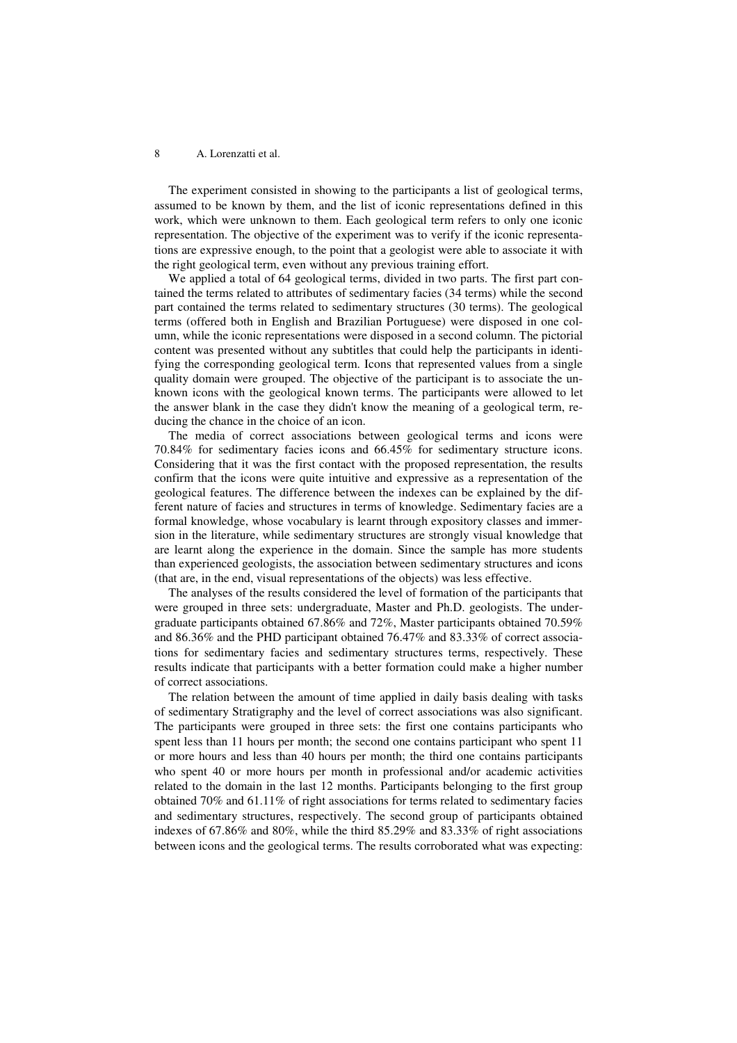The experiment consisted in showing to the participants a list of geological terms, assumed to be known by them, and the list of iconic representations defined in this work, which were unknown to them. Each geological term refers to only one iconic representation. The objective of the experiment was to verify if the iconic representations are expressive enough, to the point that a geologist were able to associate it with the right geological term, even without any previous training effort.

We applied a total of 64 geological terms, divided in two parts. The first part contained the terms related to attributes of sedimentary facies (34 terms) while the second part contained the terms related to sedimentary structures (30 terms). The geological terms (offered both in English and Brazilian Portuguese) were disposed in one column, while the iconic representations were disposed in a second column. The pictorial content was presented without any subtitles that could help the participants in identifying the corresponding geological term. Icons that represented values from a single quality domain were grouped. The objective of the participant is to associate the unknown icons with the geological known terms. The participants were allowed to let the answer blank in the case they didn't know the meaning of a geological term, reducing the chance in the choice of an icon.

The media of correct associations between geological terms and icons were 70.84% for sedimentary facies icons and 66.45% for sedimentary structure icons. Considering that it was the first contact with the proposed representation, the results confirm that the icons were quite intuitive and expressive as a representation of the geological features. The difference between the indexes can be explained by the different nature of facies and structures in terms of knowledge. Sedimentary facies are a formal knowledge, whose vocabulary is learnt through expository classes and immersion in the literature, while sedimentary structures are strongly visual knowledge that are learnt along the experience in the domain. Since the sample has more students than experienced geologists, the association between sedimentary structures and icons (that are, in the end, visual representations of the objects) was less effective.

The analyses of the results considered the level of formation of the participants that were grouped in three sets: undergraduate, Master and Ph.D. geologists. The undergraduate participants obtained 67.86% and 72%, Master participants obtained 70.59% and 86.36% and the PHD participant obtained 76.47% and 83.33% of correct associations for sedimentary facies and sedimentary structures terms, respectively. These results indicate that participants with a better formation could make a higher number of correct associations.

The relation between the amount of time applied in daily basis dealing with tasks of sedimentary Stratigraphy and the level of correct associations was also significant. The participants were grouped in three sets: the first one contains participants who spent less than 11 hours per month; the second one contains participant who spent 11 or more hours and less than 40 hours per month; the third one contains participants who spent 40 or more hours per month in professional and/or academic activities related to the domain in the last 12 months. Participants belonging to the first group obtained 70% and 61.11% of right associations for terms related to sedimentary facies and sedimentary structures, respectively. The second group of participants obtained indexes of 67.86% and 80%, while the third 85.29% and 83.33% of right associations between icons and the geological terms. The results corroborated what was expecting: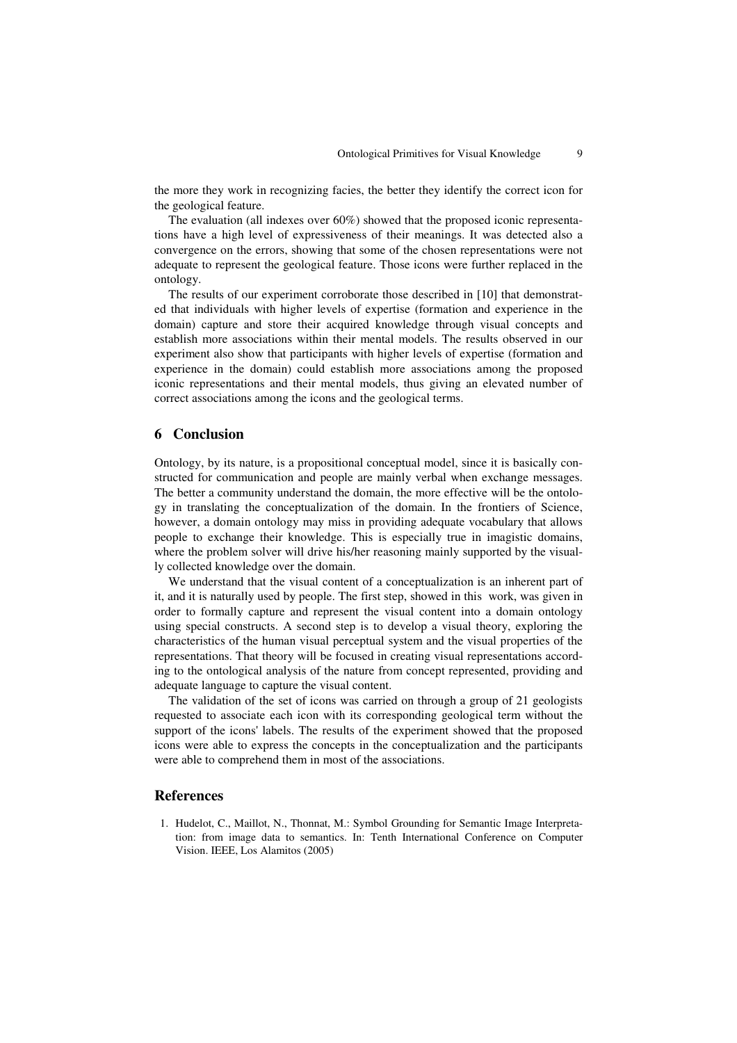the more they work in recognizing facies, the better they identify the correct icon for the geological feature.

The evaluation (all indexes over 60%) showed that the proposed iconic representations have a high level of expressiveness of their meanings. It was detected also a convergence on the errors, showing that some of the chosen representations were not adequate to represent the geological feature. Those icons were further replaced in the ontology.

The results of our experiment corroborate those described in [10] that demonstrated that individuals with higher levels of expertise (formation and experience in the domain) capture and store their acquired knowledge through visual concepts and establish more associations within their mental models. The results observed in our experiment also show that participants with higher levels of expertise (formation and experience in the domain) could establish more associations among the proposed iconic representations and their mental models, thus giving an elevated number of correct associations among the icons and the geological terms.

### **6 Conclusion**

Ontology, by its nature, is a propositional conceptual model, since it is basically constructed for communication and people are mainly verbal when exchange messages. The better a community understand the domain, the more effective will be the ontology in translating the conceptualization of the domain. In the frontiers of Science, however, a domain ontology may miss in providing adequate vocabulary that allows people to exchange their knowledge. This is especially true in imagistic domains, where the problem solver will drive his/her reasoning mainly supported by the visually collected knowledge over the domain.

We understand that the visual content of a conceptualization is an inherent part of it, and it is naturally used by people. The first step, showed in this work, was given in order to formally capture and represent the visual content into a domain ontology using special constructs. A second step is to develop a visual theory, exploring the characteristics of the human visual perceptual system and the visual properties of the representations. That theory will be focused in creating visual representations according to the ontological analysis of the nature from concept represented, providing and adequate language to capture the visual content.

The validation of the set of icons was carried on through a group of 21 geologists requested to associate each icon with its corresponding geological term without the support of the icons' labels. The results of the experiment showed that the proposed icons were able to express the concepts in the conceptualization and the participants were able to comprehend them in most of the associations.

### **References**

1. Hudelot, C., Maillot, N., Thonnat, M.: Symbol Grounding for Semantic Image Interpretation: from image data to semantics. In: Tenth International Conference on Computer Vision. IEEE, Los Alamitos (2005)